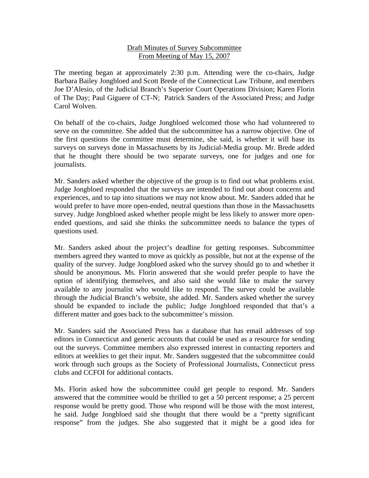## Draft Minutes of Survey Subcommittee From Meeting of May 15, 2007

The meeting began at approximately 2:30 p.m. Attending were the co-chairs, Judge Barbara Bailey Jongbloed and Scott Brede of the Connecticut Law Tribune, and members Joe D'Alesio, of the Judicial Branch's Superior Court Operations Division; Karen Florin of The Day; Paul Giguere of CT-N; Patrick Sanders of the Associated Press; and Judge Carol Wolven.

On behalf of the co-chairs, Judge Jongbloed welcomed those who had volunteered to serve on the committee. She added that the subcommittee has a narrow objective. One of the first questions the committee must determine, she said, is whether it will base its surveys on surveys done in Massachusetts by its Judicial-Media group. Mr. Brede added that he thought there should be two separate surveys, one for judges and one for journalists.

Mr. Sanders asked whether the objective of the group is to find out what problems exist. Judge Jongbloed responded that the surveys are intended to find out about concerns and experiences, and to tap into situations we may not know about. Mr. Sanders added that he would prefer to have more open-ended, neutral questions than those in the Massachusetts survey. Judge Jongbloed asked whether people might be less likely to answer more openended questions, and said she thinks the subcommittee needs to balance the types of questions used.

Mr. Sanders asked about the project's deadline for getting responses. Subcommittee members agreed they wanted to move as quickly as possible, but not at the expense of the quality of the survey. Judge Jongbloed asked who the survey should go to and whether it should be anonymous. Ms. Florin answered that she would prefer people to have the option of identifying themselves, and also said she would like to make the survey available to any journalist who would like to respond. The survey could be available through the Judicial Branch's website, she added. Mr. Sanders asked whether the survey should be expanded to include the public; Judge Jongbloed responded that that's a different matter and goes back to the subcommittee's mission.

Mr. Sanders said the Associated Press has a database that has email addresses of top editors in Connecticut and generic accounts that could be used as a resource for sending out the surveys. Committee members also expressed interest in contacting reporters and editors at weeklies to get their input. Mr. Sanders suggested that the subcommittee could work through such groups as the Society of Professional Journalists, Connecticut press clubs and CCFOI for additional contacts.

Ms. Florin asked how the subcommittee could get people to respond. Mr. Sanders answered that the committee would be thrilled to get a 50 percent response; a 25 percent response would be pretty good. Those who respond will be those with the most interest, he said. Judge Jongbloed said she thought that there would be a "pretty significant response" from the judges. She also suggested that it might be a good idea for